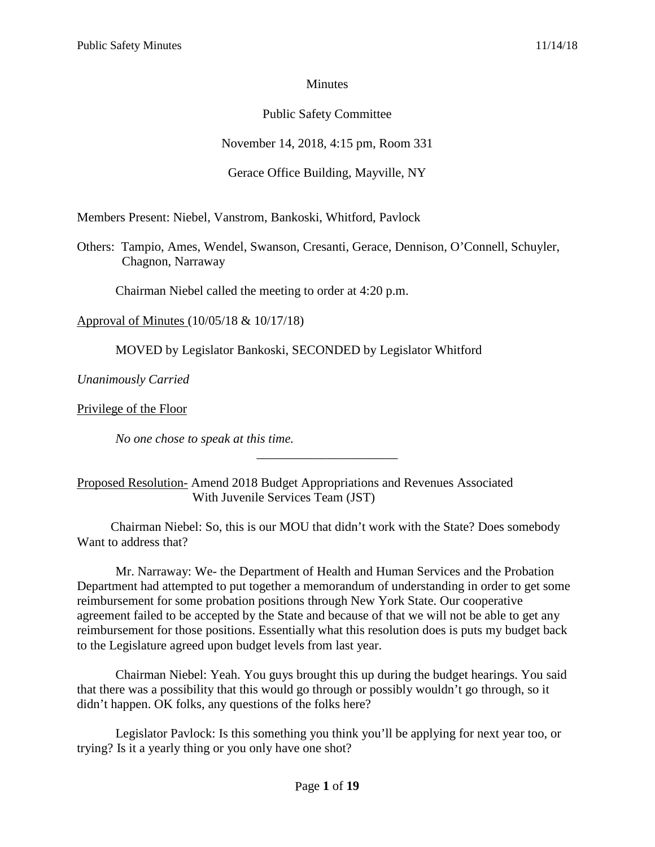## **Minutes**

# Public Safety Committee

# November 14, 2018, 4:15 pm, Room 331

# Gerace Office Building, Mayville, NY

Members Present: Niebel, Vanstrom, Bankoski, Whitford, Pavlock

Others: Tampio, Ames, Wendel, Swanson, Cresanti, Gerace, Dennison, O'Connell, Schuyler, Chagnon, Narraway

Chairman Niebel called the meeting to order at 4:20 p.m.

Approval of Minutes (10/05/18 & 10/17/18)

MOVED by Legislator Bankoski, SECONDED by Legislator Whitford

*Unanimously Carried* 

Privilege of the Floor

*No one chose to speak at this time.*

## Proposed Resolution- Amend 2018 Budget Appropriations and Revenues Associated With Juvenile Services Team (JST)

Chairman Niebel: So, this is our MOU that didn't work with the State? Does somebody Want to address that?

\_\_\_\_\_\_\_\_\_\_\_\_\_\_\_\_\_\_\_\_\_\_

Mr. Narraway: We- the Department of Health and Human Services and the Probation Department had attempted to put together a memorandum of understanding in order to get some reimbursement for some probation positions through New York State. Our cooperative agreement failed to be accepted by the State and because of that we will not be able to get any reimbursement for those positions. Essentially what this resolution does is puts my budget back to the Legislature agreed upon budget levels from last year.

Chairman Niebel: Yeah. You guys brought this up during the budget hearings. You said that there was a possibility that this would go through or possibly wouldn't go through, so it didn't happen. OK folks, any questions of the folks here?

Legislator Pavlock: Is this something you think you'll be applying for next year too, or trying? Is it a yearly thing or you only have one shot?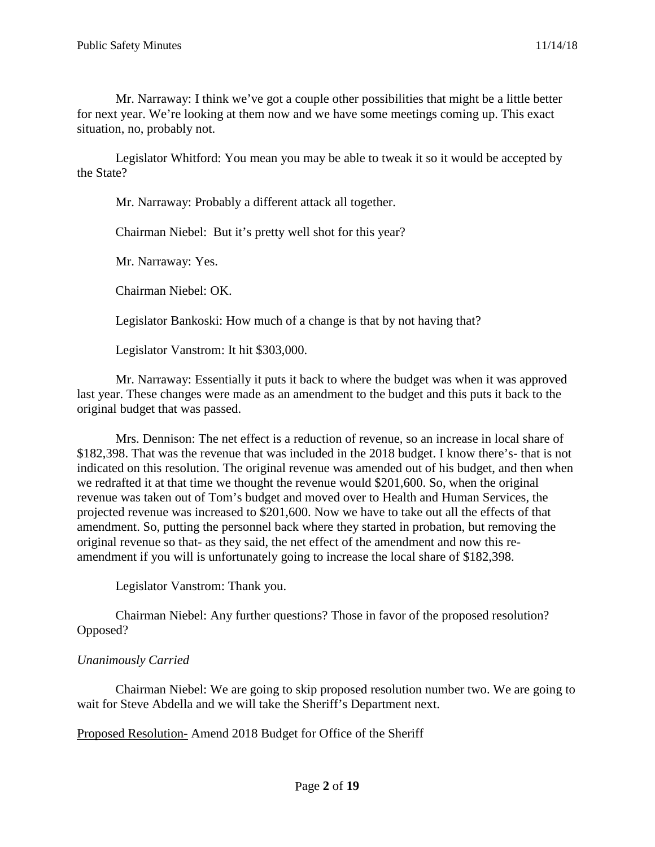Mr. Narraway: I think we've got a couple other possibilities that might be a little better for next year. We're looking at them now and we have some meetings coming up. This exact situation, no, probably not.

Legislator Whitford: You mean you may be able to tweak it so it would be accepted by the State?

Mr. Narraway: Probably a different attack all together.

Chairman Niebel: But it's pretty well shot for this year?

Mr. Narraway: Yes.

Chairman Niebel: OK.

Legislator Bankoski: How much of a change is that by not having that?

Legislator Vanstrom: It hit \$303,000.

Mr. Narraway: Essentially it puts it back to where the budget was when it was approved last year. These changes were made as an amendment to the budget and this puts it back to the original budget that was passed.

Mrs. Dennison: The net effect is a reduction of revenue, so an increase in local share of \$182,398. That was the revenue that was included in the 2018 budget. I know there's- that is not indicated on this resolution. The original revenue was amended out of his budget, and then when we redrafted it at that time we thought the revenue would \$201,600. So, when the original revenue was taken out of Tom's budget and moved over to Health and Human Services, the projected revenue was increased to \$201,600. Now we have to take out all the effects of that amendment. So, putting the personnel back where they started in probation, but removing the original revenue so that- as they said, the net effect of the amendment and now this reamendment if you will is unfortunately going to increase the local share of \$182,398.

Legislator Vanstrom: Thank you.

Chairman Niebel: Any further questions? Those in favor of the proposed resolution? Opposed?

#### *Unanimously Carried*

Chairman Niebel: We are going to skip proposed resolution number two. We are going to wait for Steve Abdella and we will take the Sheriff's Department next.

Proposed Resolution- Amend 2018 Budget for Office of the Sheriff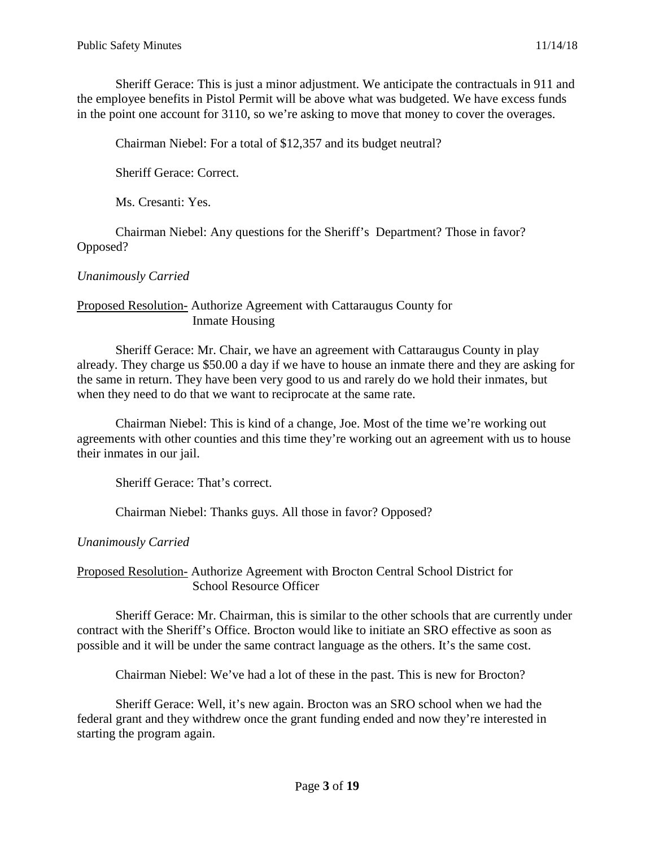Sheriff Gerace: This is just a minor adjustment. We anticipate the contractuals in 911 and the employee benefits in Pistol Permit will be above what was budgeted. We have excess funds in the point one account for 3110, so we're asking to move that money to cover the overages.

Chairman Niebel: For a total of \$12,357 and its budget neutral?

Sheriff Gerace: Correct.

Ms. Cresanti: Yes.

Chairman Niebel: Any questions for the Sheriff's Department? Those in favor? Opposed?

## *Unanimously Carried*

#### Proposed Resolution- Authorize Agreement with Cattaraugus County for Inmate Housing

Sheriff Gerace: Mr. Chair, we have an agreement with Cattaraugus County in play already. They charge us \$50.00 a day if we have to house an inmate there and they are asking for the same in return. They have been very good to us and rarely do we hold their inmates, but when they need to do that we want to reciprocate at the same rate.

Chairman Niebel: This is kind of a change, Joe. Most of the time we're working out agreements with other counties and this time they're working out an agreement with us to house their inmates in our jail.

Sheriff Gerace: That's correct.

Chairman Niebel: Thanks guys. All those in favor? Opposed?

*Unanimously Carried* 

Proposed Resolution- Authorize Agreement with Brocton Central School District for School Resource Officer

Sheriff Gerace: Mr. Chairman, this is similar to the other schools that are currently under contract with the Sheriff's Office. Brocton would like to initiate an SRO effective as soon as possible and it will be under the same contract language as the others. It's the same cost.

Chairman Niebel: We've had a lot of these in the past. This is new for Brocton?

Sheriff Gerace: Well, it's new again. Brocton was an SRO school when we had the federal grant and they withdrew once the grant funding ended and now they're interested in starting the program again.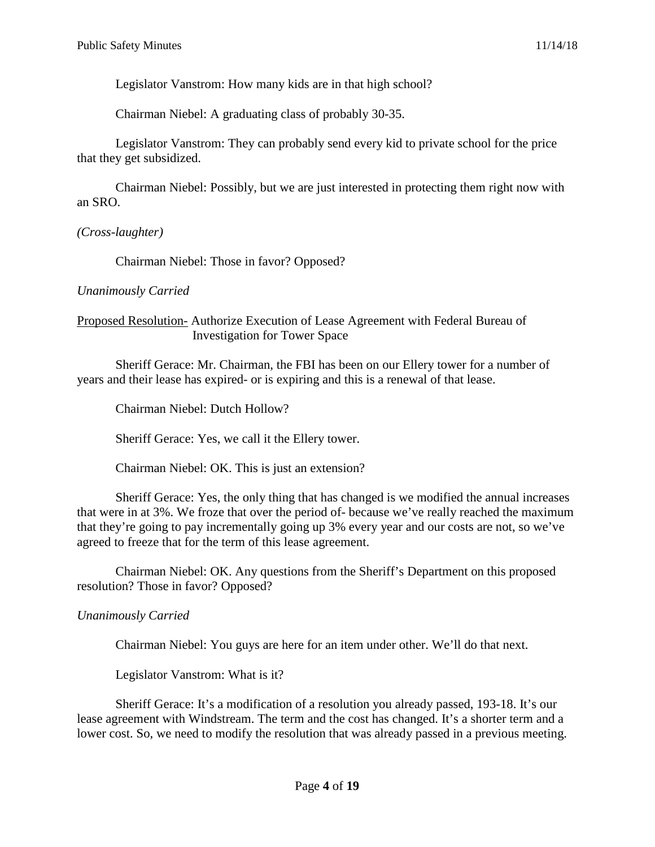Legislator Vanstrom: How many kids are in that high school?

Chairman Niebel: A graduating class of probably 30-35.

Legislator Vanstrom: They can probably send every kid to private school for the price that they get subsidized.

Chairman Niebel: Possibly, but we are just interested in protecting them right now with an SRO.

*(Cross-laughter)*

Chairman Niebel: Those in favor? Opposed?

## *Unanimously Carried*

#### Proposed Resolution- Authorize Execution of Lease Agreement with Federal Bureau of Investigation for Tower Space

Sheriff Gerace: Mr. Chairman, the FBI has been on our Ellery tower for a number of years and their lease has expired- or is expiring and this is a renewal of that lease.

Chairman Niebel: Dutch Hollow?

Sheriff Gerace: Yes, we call it the Ellery tower.

Chairman Niebel: OK. This is just an extension?

Sheriff Gerace: Yes, the only thing that has changed is we modified the annual increases that were in at 3%. We froze that over the period of- because we've really reached the maximum that they're going to pay incrementally going up 3% every year and our costs are not, so we've agreed to freeze that for the term of this lease agreement.

Chairman Niebel: OK. Any questions from the Sheriff's Department on this proposed resolution? Those in favor? Opposed?

## *Unanimously Carried*

Chairman Niebel: You guys are here for an item under other. We'll do that next.

Legislator Vanstrom: What is it?

Sheriff Gerace: It's a modification of a resolution you already passed, 193-18. It's our lease agreement with Windstream. The term and the cost has changed. It's a shorter term and a lower cost. So, we need to modify the resolution that was already passed in a previous meeting.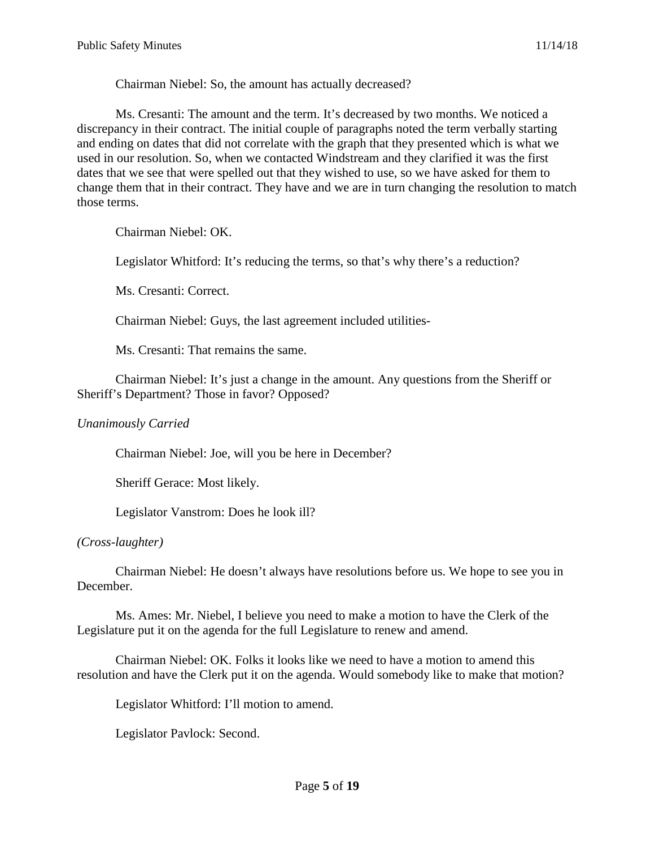Chairman Niebel: So, the amount has actually decreased?

Ms. Cresanti: The amount and the term. It's decreased by two months. We noticed a discrepancy in their contract. The initial couple of paragraphs noted the term verbally starting and ending on dates that did not correlate with the graph that they presented which is what we used in our resolution. So, when we contacted Windstream and they clarified it was the first dates that we see that were spelled out that they wished to use, so we have asked for them to change them that in their contract. They have and we are in turn changing the resolution to match those terms.

Chairman Niebel: OK.

Legislator Whitford: It's reducing the terms, so that's why there's a reduction?

Ms. Cresanti: Correct.

Chairman Niebel: Guys, the last agreement included utilities-

Ms. Cresanti: That remains the same.

Chairman Niebel: It's just a change in the amount. Any questions from the Sheriff or Sheriff's Department? Those in favor? Opposed?

#### *Unanimously Carried*

Chairman Niebel: Joe, will you be here in December?

Sheriff Gerace: Most likely.

Legislator Vanstrom: Does he look ill?

#### *(Cross-laughter)*

Chairman Niebel: He doesn't always have resolutions before us. We hope to see you in December.

Ms. Ames: Mr. Niebel, I believe you need to make a motion to have the Clerk of the Legislature put it on the agenda for the full Legislature to renew and amend.

Chairman Niebel: OK. Folks it looks like we need to have a motion to amend this resolution and have the Clerk put it on the agenda. Would somebody like to make that motion?

Legislator Whitford: I'll motion to amend.

Legislator Pavlock: Second.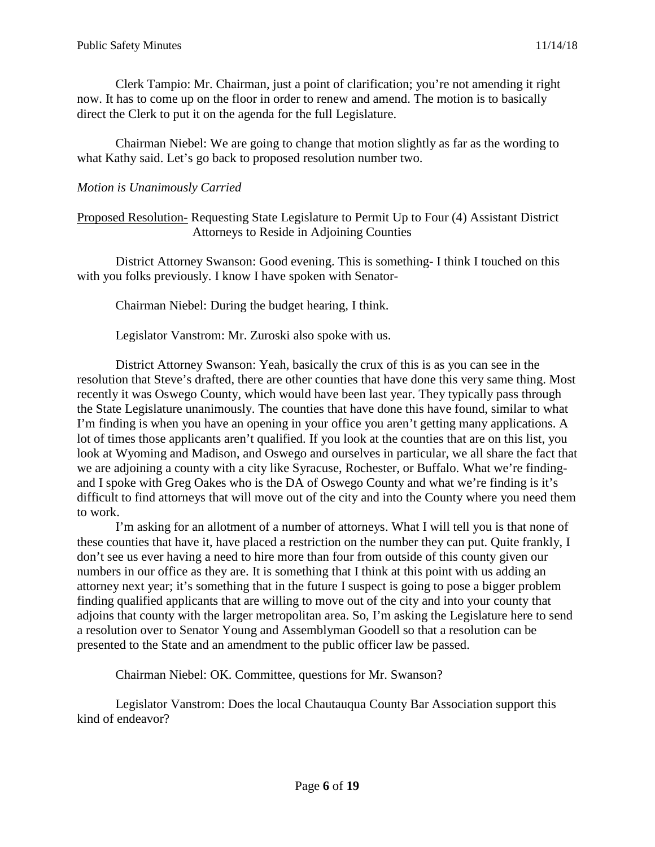Clerk Tampio: Mr. Chairman, just a point of clarification; you're not amending it right now. It has to come up on the floor in order to renew and amend. The motion is to basically direct the Clerk to put it on the agenda for the full Legislature.

Chairman Niebel: We are going to change that motion slightly as far as the wording to what Kathy said. Let's go back to proposed resolution number two.

## *Motion is Unanimously Carried*

#### Proposed Resolution- Requesting State Legislature to Permit Up to Four (4) Assistant District Attorneys to Reside in Adjoining Counties

District Attorney Swanson: Good evening. This is something- I think I touched on this with you folks previously. I know I have spoken with Senator-

Chairman Niebel: During the budget hearing, I think.

Legislator Vanstrom: Mr. Zuroski also spoke with us.

District Attorney Swanson: Yeah, basically the crux of this is as you can see in the resolution that Steve's drafted, there are other counties that have done this very same thing. Most recently it was Oswego County, which would have been last year. They typically pass through the State Legislature unanimously. The counties that have done this have found, similar to what I'm finding is when you have an opening in your office you aren't getting many applications. A lot of times those applicants aren't qualified. If you look at the counties that are on this list, you look at Wyoming and Madison, and Oswego and ourselves in particular, we all share the fact that we are adjoining a county with a city like Syracuse, Rochester, or Buffalo. What we're findingand I spoke with Greg Oakes who is the DA of Oswego County and what we're finding is it's difficult to find attorneys that will move out of the city and into the County where you need them to work.

I'm asking for an allotment of a number of attorneys. What I will tell you is that none of these counties that have it, have placed a restriction on the number they can put. Quite frankly, I don't see us ever having a need to hire more than four from outside of this county given our numbers in our office as they are. It is something that I think at this point with us adding an attorney next year; it's something that in the future I suspect is going to pose a bigger problem finding qualified applicants that are willing to move out of the city and into your county that adjoins that county with the larger metropolitan area. So, I'm asking the Legislature here to send a resolution over to Senator Young and Assemblyman Goodell so that a resolution can be presented to the State and an amendment to the public officer law be passed.

Chairman Niebel: OK. Committee, questions for Mr. Swanson?

Legislator Vanstrom: Does the local Chautauqua County Bar Association support this kind of endeavor?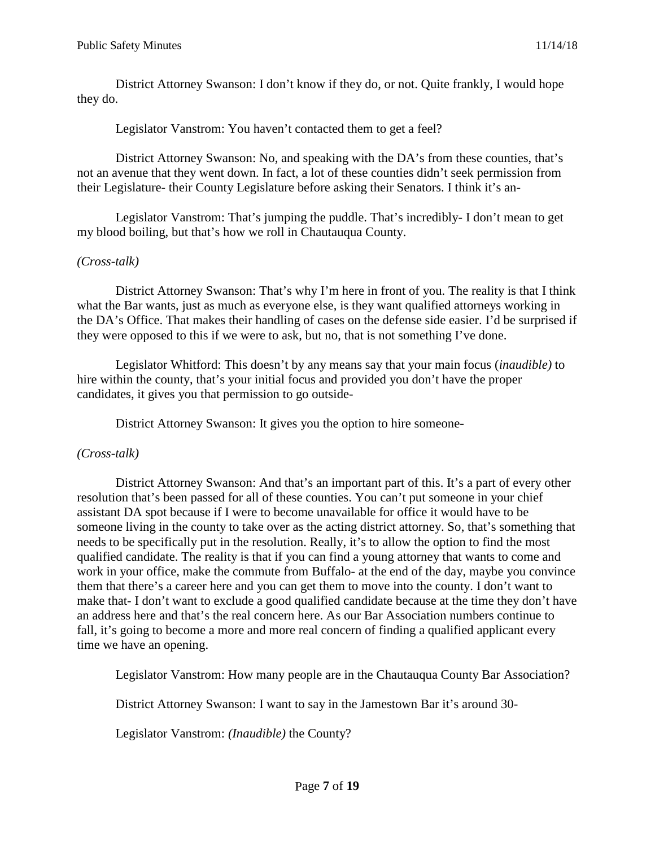District Attorney Swanson: I don't know if they do, or not. Quite frankly, I would hope they do.

Legislator Vanstrom: You haven't contacted them to get a feel?

District Attorney Swanson: No, and speaking with the DA's from these counties, that's not an avenue that they went down. In fact, a lot of these counties didn't seek permission from their Legislature- their County Legislature before asking their Senators. I think it's an-

Legislator Vanstrom: That's jumping the puddle. That's incredibly- I don't mean to get my blood boiling, but that's how we roll in Chautauqua County.

## *(Cross-talk)*

District Attorney Swanson: That's why I'm here in front of you. The reality is that I think what the Bar wants, just as much as everyone else, is they want qualified attorneys working in the DA's Office. That makes their handling of cases on the defense side easier. I'd be surprised if they were opposed to this if we were to ask, but no, that is not something I've done.

Legislator Whitford: This doesn't by any means say that your main focus (*inaudible)* to hire within the county, that's your initial focus and provided you don't have the proper candidates, it gives you that permission to go outside-

District Attorney Swanson: It gives you the option to hire someone-

## *(Cross-talk)*

District Attorney Swanson: And that's an important part of this. It's a part of every other resolution that's been passed for all of these counties. You can't put someone in your chief assistant DA spot because if I were to become unavailable for office it would have to be someone living in the county to take over as the acting district attorney. So, that's something that needs to be specifically put in the resolution. Really, it's to allow the option to find the most qualified candidate. The reality is that if you can find a young attorney that wants to come and work in your office, make the commute from Buffalo- at the end of the day, maybe you convince them that there's a career here and you can get them to move into the county. I don't want to make that- I don't want to exclude a good qualified candidate because at the time they don't have an address here and that's the real concern here. As our Bar Association numbers continue to fall, it's going to become a more and more real concern of finding a qualified applicant every time we have an opening.

Legislator Vanstrom: How many people are in the Chautauqua County Bar Association?

District Attorney Swanson: I want to say in the Jamestown Bar it's around 30-

Legislator Vanstrom: *(Inaudible)* the County?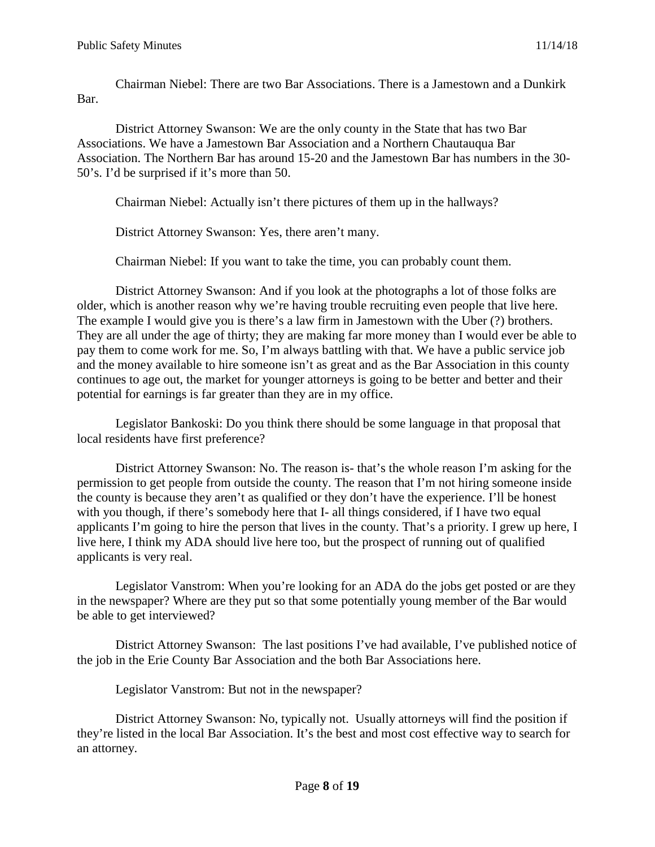Chairman Niebel: There are two Bar Associations. There is a Jamestown and a Dunkirk Bar.

District Attorney Swanson: We are the only county in the State that has two Bar Associations. We have a Jamestown Bar Association and a Northern Chautauqua Bar Association. The Northern Bar has around 15-20 and the Jamestown Bar has numbers in the 30- 50's. I'd be surprised if it's more than 50.

Chairman Niebel: Actually isn't there pictures of them up in the hallways?

District Attorney Swanson: Yes, there aren't many.

Chairman Niebel: If you want to take the time, you can probably count them.

District Attorney Swanson: And if you look at the photographs a lot of those folks are older, which is another reason why we're having trouble recruiting even people that live here. The example I would give you is there's a law firm in Jamestown with the Uber (?) brothers. They are all under the age of thirty; they are making far more money than I would ever be able to pay them to come work for me. So, I'm always battling with that. We have a public service job and the money available to hire someone isn't as great and as the Bar Association in this county continues to age out, the market for younger attorneys is going to be better and better and their potential for earnings is far greater than they are in my office.

Legislator Bankoski: Do you think there should be some language in that proposal that local residents have first preference?

District Attorney Swanson: No. The reason is- that's the whole reason I'm asking for the permission to get people from outside the county. The reason that I'm not hiring someone inside the county is because they aren't as qualified or they don't have the experience. I'll be honest with you though, if there's somebody here that I- all things considered, if I have two equal applicants I'm going to hire the person that lives in the county. That's a priority. I grew up here, I live here, I think my ADA should live here too, but the prospect of running out of qualified applicants is very real.

Legislator Vanstrom: When you're looking for an ADA do the jobs get posted or are they in the newspaper? Where are they put so that some potentially young member of the Bar would be able to get interviewed?

District Attorney Swanson: The last positions I've had available, I've published notice of the job in the Erie County Bar Association and the both Bar Associations here.

Legislator Vanstrom: But not in the newspaper?

District Attorney Swanson: No, typically not. Usually attorneys will find the position if they're listed in the local Bar Association. It's the best and most cost effective way to search for an attorney.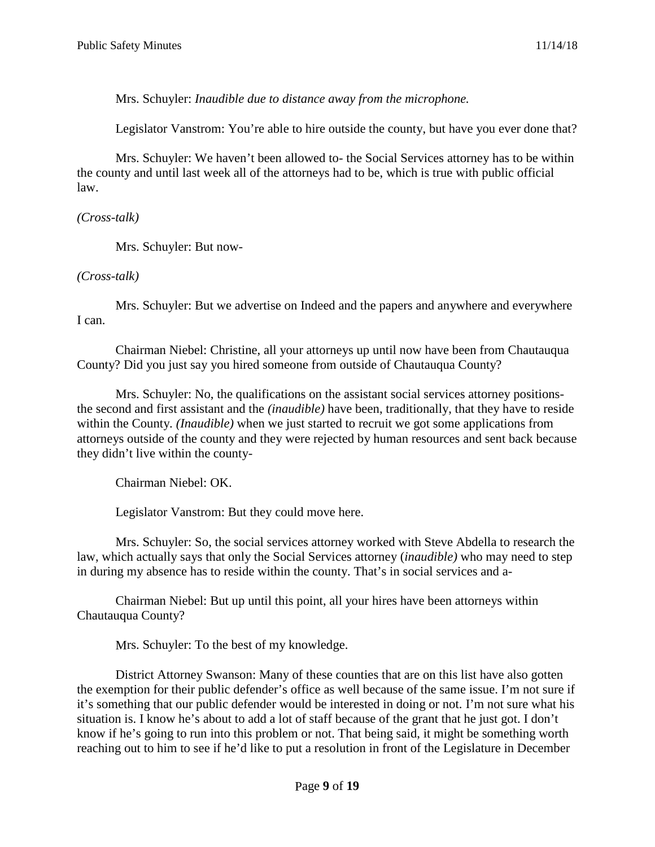Mrs. Schuyler: *Inaudible due to distance away from the microphone.* 

Legislator Vanstrom: You're able to hire outside the county, but have you ever done that?

Mrs. Schuyler: We haven't been allowed to- the Social Services attorney has to be within the county and until last week all of the attorneys had to be, which is true with public official law.

#### *(Cross-talk)*

Mrs. Schuyler: But now-

## *(Cross-talk)*

Mrs. Schuyler: But we advertise on Indeed and the papers and anywhere and everywhere I can.

Chairman Niebel: Christine, all your attorneys up until now have been from Chautauqua County? Did you just say you hired someone from outside of Chautauqua County?

Mrs. Schuyler: No, the qualifications on the assistant social services attorney positionsthe second and first assistant and the *(inaudible)* have been, traditionally, that they have to reside within the County. *(Inaudible)* when we just started to recruit we got some applications from attorneys outside of the county and they were rejected by human resources and sent back because they didn't live within the county-

Chairman Niebel: OK.

Legislator Vanstrom: But they could move here.

Mrs. Schuyler: So, the social services attorney worked with Steve Abdella to research the law, which actually says that only the Social Services attorney (*inaudible)* who may need to step in during my absence has to reside within the county. That's in social services and a-

Chairman Niebel: But up until this point, all your hires have been attorneys within Chautauqua County?

Mrs. Schuyler: To the best of my knowledge.

District Attorney Swanson: Many of these counties that are on this list have also gotten the exemption for their public defender's office as well because of the same issue. I'm not sure if it's something that our public defender would be interested in doing or not. I'm not sure what his situation is. I know he's about to add a lot of staff because of the grant that he just got. I don't know if he's going to run into this problem or not. That being said, it might be something worth reaching out to him to see if he'd like to put a resolution in front of the Legislature in December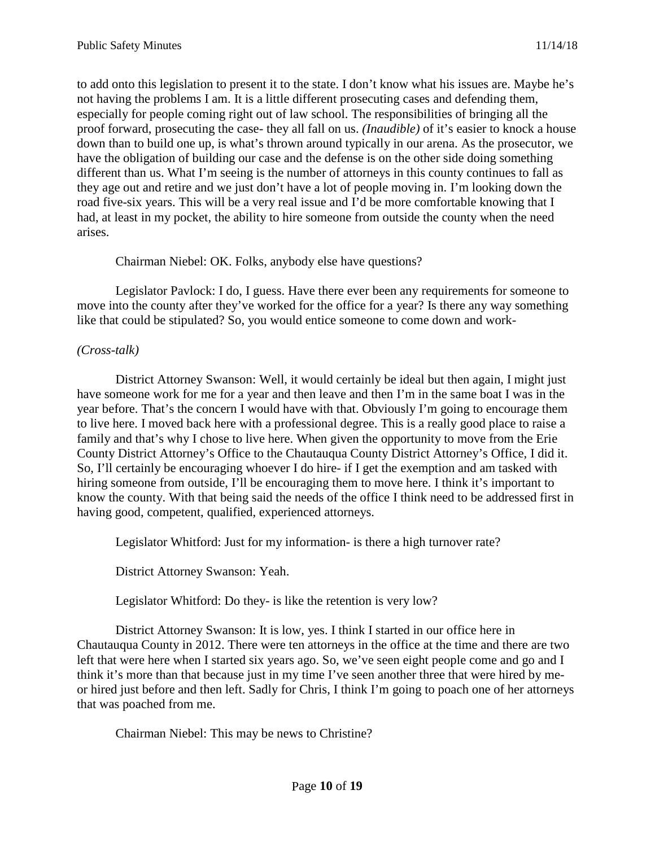to add onto this legislation to present it to the state. I don't know what his issues are. Maybe he's not having the problems I am. It is a little different prosecuting cases and defending them, especially for people coming right out of law school. The responsibilities of bringing all the proof forward, prosecuting the case- they all fall on us. *(Inaudible)* of it's easier to knock a house down than to build one up, is what's thrown around typically in our arena. As the prosecutor, we have the obligation of building our case and the defense is on the other side doing something different than us. What I'm seeing is the number of attorneys in this county continues to fall as they age out and retire and we just don't have a lot of people moving in. I'm looking down the road five-six years. This will be a very real issue and I'd be more comfortable knowing that I had, at least in my pocket, the ability to hire someone from outside the county when the need arises.

Chairman Niebel: OK. Folks, anybody else have questions?

Legislator Pavlock: I do, I guess. Have there ever been any requirements for someone to move into the county after they've worked for the office for a year? Is there any way something like that could be stipulated? So, you would entice someone to come down and work-

#### *(Cross-talk)*

District Attorney Swanson: Well, it would certainly be ideal but then again, I might just have someone work for me for a year and then leave and then I'm in the same boat I was in the year before. That's the concern I would have with that. Obviously I'm going to encourage them to live here. I moved back here with a professional degree. This is a really good place to raise a family and that's why I chose to live here. When given the opportunity to move from the Erie County District Attorney's Office to the Chautauqua County District Attorney's Office, I did it. So, I'll certainly be encouraging whoever I do hire- if I get the exemption and am tasked with hiring someone from outside, I'll be encouraging them to move here. I think it's important to know the county. With that being said the needs of the office I think need to be addressed first in having good, competent, qualified, experienced attorneys.

Legislator Whitford: Just for my information- is there a high turnover rate?

District Attorney Swanson: Yeah.

Legislator Whitford: Do they- is like the retention is very low?

District Attorney Swanson: It is low, yes. I think I started in our office here in Chautauqua County in 2012. There were ten attorneys in the office at the time and there are two left that were here when I started six years ago. So, we've seen eight people come and go and I think it's more than that because just in my time I've seen another three that were hired by meor hired just before and then left. Sadly for Chris, I think I'm going to poach one of her attorneys that was poached from me.

Chairman Niebel: This may be news to Christine?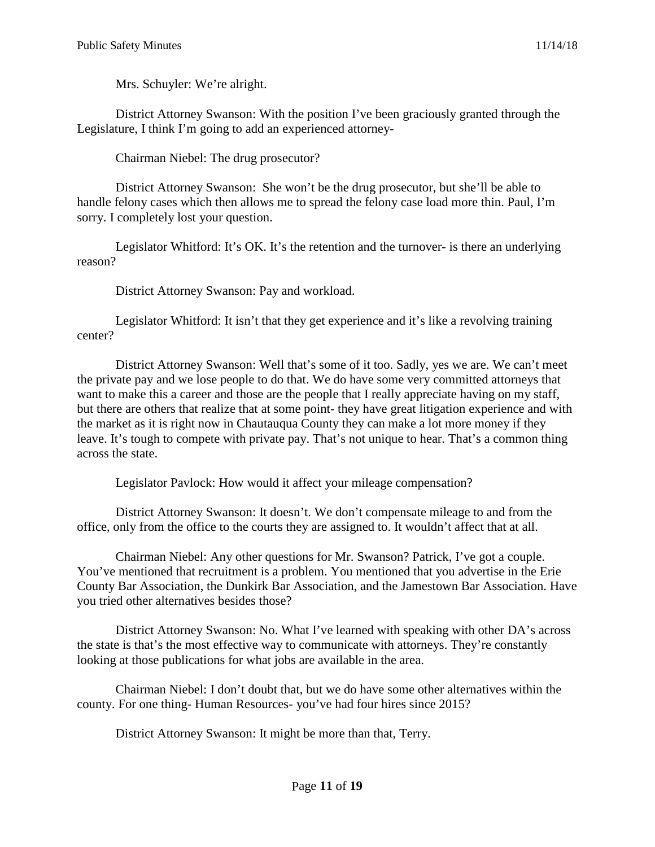Mrs. Schuyler: We're alright.

District Attorney Swanson: With the position I've been graciously granted through the Legislature, I think I'm going to add an experienced attorney-

Chairman Niebel: The drug prosecutor?

District Attorney Swanson: She won't be the drug prosecutor, but she'll be able to handle felony cases which then allows me to spread the felony case load more thin. Paul, I'm sorry. I completely lost your question.

Legislator Whitford: It's OK. It's the retention and the turnover- is there an underlying reason?

District Attorney Swanson: Pay and workload.

Legislator Whitford: It isn't that they get experience and it's like a revolving training center?

District Attorney Swanson: Well that's some of it too. Sadly, yes we are. We can't meet the private pay and we lose people to do that. We do have some very committed attorneys that want to make this a career and those are the people that I really appreciate having on my staff, but there are others that realize that at some point- they have great litigation experience and with the market as it is right now in Chautauqua County they can make a lot more money if they leave. It's tough to compete with private pay. That's not unique to hear. That's a common thing across the state.

Legislator Pavlock: How would it affect your mileage compensation?

District Attorney Swanson: It doesn't. We don't compensate mileage to and from the office, only from the office to the courts they are assigned to. It wouldn't affect that at all.

Chairman Niebel: Any other questions for Mr. Swanson? Patrick, I've got a couple. You've mentioned that recruitment is a problem. You mentioned that you advertise in the Erie County Bar Association, the Dunkirk Bar Association, and the Jamestown Bar Association. Have you tried other alternatives besides those?

District Attorney Swanson: No. What I've learned with speaking with other DA's across the state is that's the most effective way to communicate with attorneys. They're constantly looking at those publications for what jobs are available in the area.

Chairman Niebel: I don't doubt that, but we do have some other alternatives within the county. For one thing- Human Resources- you've had four hires since 2015?

District Attorney Swanson: It might be more than that, Terry.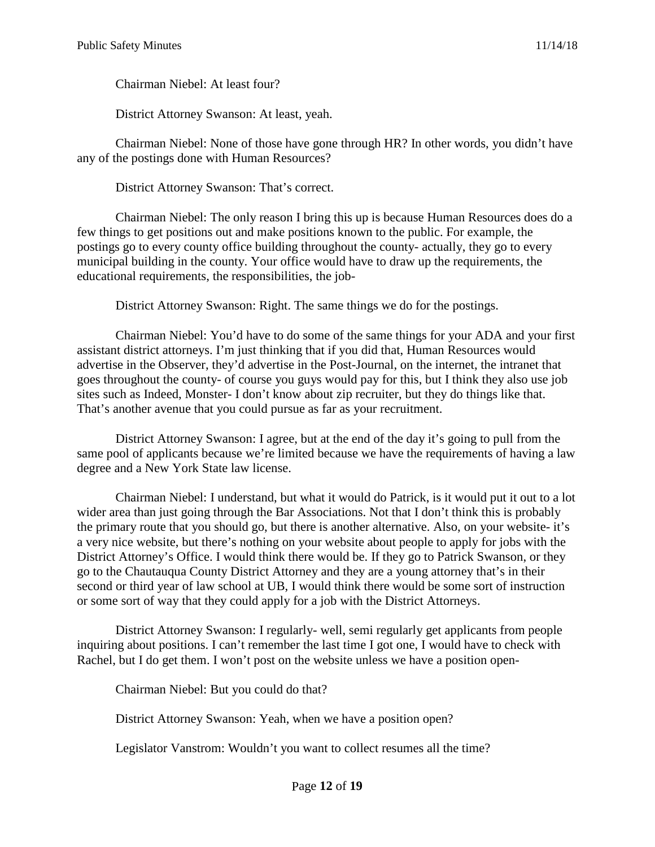Chairman Niebel: At least four?

District Attorney Swanson: At least, yeah.

Chairman Niebel: None of those have gone through HR? In other words, you didn't have any of the postings done with Human Resources?

District Attorney Swanson: That's correct.

Chairman Niebel: The only reason I bring this up is because Human Resources does do a few things to get positions out and make positions known to the public. For example, the postings go to every county office building throughout the county- actually, they go to every municipal building in the county. Your office would have to draw up the requirements, the educational requirements, the responsibilities, the job-

District Attorney Swanson: Right. The same things we do for the postings.

Chairman Niebel: You'd have to do some of the same things for your ADA and your first assistant district attorneys. I'm just thinking that if you did that, Human Resources would advertise in the Observer, they'd advertise in the Post-Journal, on the internet, the intranet that goes throughout the county- of course you guys would pay for this, but I think they also use job sites such as Indeed, Monster- I don't know about zip recruiter, but they do things like that. That's another avenue that you could pursue as far as your recruitment.

District Attorney Swanson: I agree, but at the end of the day it's going to pull from the same pool of applicants because we're limited because we have the requirements of having a law degree and a New York State law license.

Chairman Niebel: I understand, but what it would do Patrick, is it would put it out to a lot wider area than just going through the Bar Associations. Not that I don't think this is probably the primary route that you should go, but there is another alternative. Also, on your website- it's a very nice website, but there's nothing on your website about people to apply for jobs with the District Attorney's Office. I would think there would be. If they go to Patrick Swanson, or they go to the Chautauqua County District Attorney and they are a young attorney that's in their second or third year of law school at UB, I would think there would be some sort of instruction or some sort of way that they could apply for a job with the District Attorneys.

District Attorney Swanson: I regularly- well, semi regularly get applicants from people inquiring about positions. I can't remember the last time I got one, I would have to check with Rachel, but I do get them. I won't post on the website unless we have a position open-

Chairman Niebel: But you could do that?

District Attorney Swanson: Yeah, when we have a position open?

Legislator Vanstrom: Wouldn't you want to collect resumes all the time?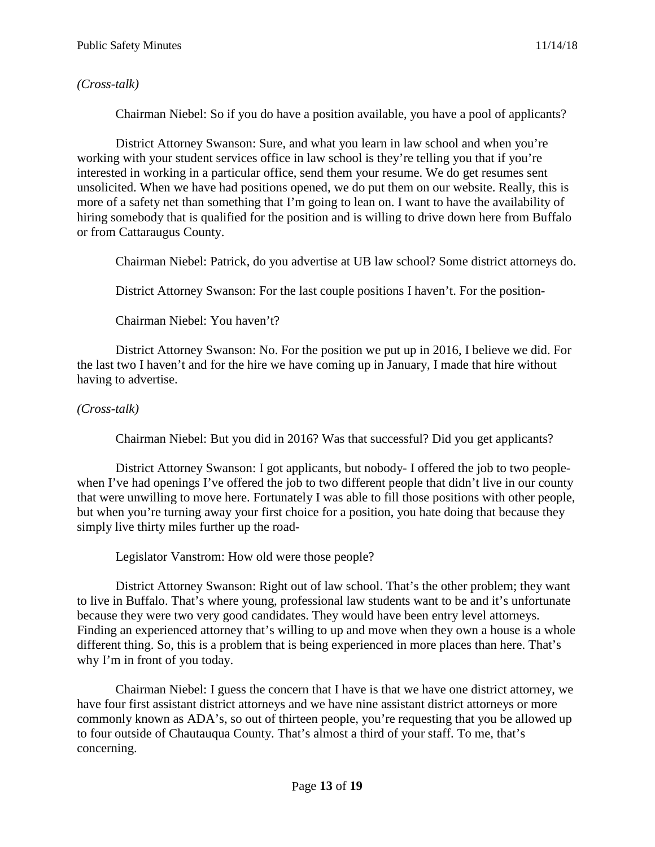## *(Cross-talk)*

Chairman Niebel: So if you do have a position available, you have a pool of applicants?

District Attorney Swanson: Sure, and what you learn in law school and when you're working with your student services office in law school is they're telling you that if you're interested in working in a particular office, send them your resume. We do get resumes sent unsolicited. When we have had positions opened, we do put them on our website. Really, this is more of a safety net than something that I'm going to lean on. I want to have the availability of hiring somebody that is qualified for the position and is willing to drive down here from Buffalo or from Cattaraugus County.

Chairman Niebel: Patrick, do you advertise at UB law school? Some district attorneys do.

District Attorney Swanson: For the last couple positions I haven't. For the position-

Chairman Niebel: You haven't?

District Attorney Swanson: No. For the position we put up in 2016, I believe we did. For the last two I haven't and for the hire we have coming up in January, I made that hire without having to advertise.

# *(Cross-talk)*

Chairman Niebel: But you did in 2016? Was that successful? Did you get applicants?

District Attorney Swanson: I got applicants, but nobody- I offered the job to two peoplewhen I've had openings I've offered the job to two different people that didn't live in our county that were unwilling to move here. Fortunately I was able to fill those positions with other people, but when you're turning away your first choice for a position, you hate doing that because they simply live thirty miles further up the road-

Legislator Vanstrom: How old were those people?

District Attorney Swanson: Right out of law school. That's the other problem; they want to live in Buffalo. That's where young, professional law students want to be and it's unfortunate because they were two very good candidates. They would have been entry level attorneys. Finding an experienced attorney that's willing to up and move when they own a house is a whole different thing. So, this is a problem that is being experienced in more places than here. That's why I'm in front of you today.

Chairman Niebel: I guess the concern that I have is that we have one district attorney, we have four first assistant district attorneys and we have nine assistant district attorneys or more commonly known as ADA's, so out of thirteen people, you're requesting that you be allowed up to four outside of Chautauqua County. That's almost a third of your staff. To me, that's concerning.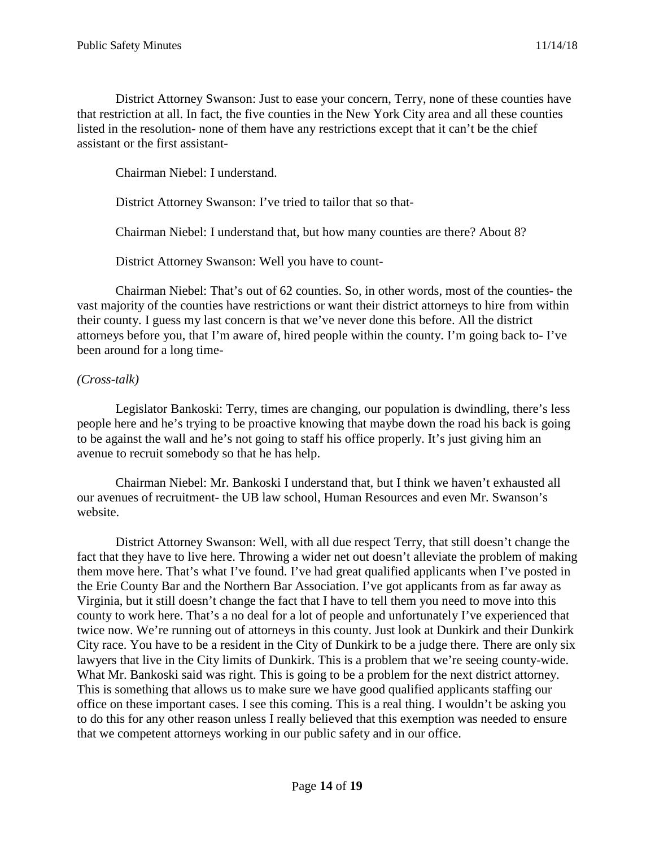District Attorney Swanson: Just to ease your concern, Terry, none of these counties have that restriction at all. In fact, the five counties in the New York City area and all these counties listed in the resolution- none of them have any restrictions except that it can't be the chief assistant or the first assistant-

Chairman Niebel: I understand.

District Attorney Swanson: I've tried to tailor that so that-

Chairman Niebel: I understand that, but how many counties are there? About 8?

District Attorney Swanson: Well you have to count-

Chairman Niebel: That's out of 62 counties. So, in other words, most of the counties- the vast majority of the counties have restrictions or want their district attorneys to hire from within their county. I guess my last concern is that we've never done this before. All the district attorneys before you, that I'm aware of, hired people within the county. I'm going back to- I've been around for a long time-

#### *(Cross-talk)*

Legislator Bankoski: Terry, times are changing, our population is dwindling, there's less people here and he's trying to be proactive knowing that maybe down the road his back is going to be against the wall and he's not going to staff his office properly. It's just giving him an avenue to recruit somebody so that he has help.

Chairman Niebel: Mr. Bankoski I understand that, but I think we haven't exhausted all our avenues of recruitment- the UB law school, Human Resources and even Mr. Swanson's website.

District Attorney Swanson: Well, with all due respect Terry, that still doesn't change the fact that they have to live here. Throwing a wider net out doesn't alleviate the problem of making them move here. That's what I've found. I've had great qualified applicants when I've posted in the Erie County Bar and the Northern Bar Association. I've got applicants from as far away as Virginia, but it still doesn't change the fact that I have to tell them you need to move into this county to work here. That's a no deal for a lot of people and unfortunately I've experienced that twice now. We're running out of attorneys in this county. Just look at Dunkirk and their Dunkirk City race. You have to be a resident in the City of Dunkirk to be a judge there. There are only six lawyers that live in the City limits of Dunkirk. This is a problem that we're seeing county-wide. What Mr. Bankoski said was right. This is going to be a problem for the next district attorney. This is something that allows us to make sure we have good qualified applicants staffing our office on these important cases. I see this coming. This is a real thing. I wouldn't be asking you to do this for any other reason unless I really believed that this exemption was needed to ensure that we competent attorneys working in our public safety and in our office.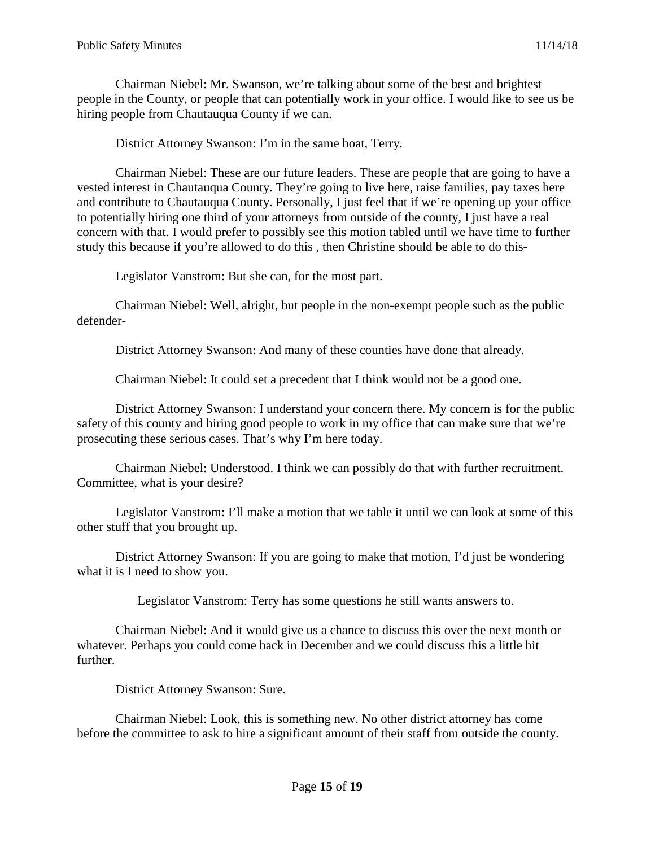Chairman Niebel: Mr. Swanson, we're talking about some of the best and brightest people in the County, or people that can potentially work in your office. I would like to see us be hiring people from Chautauqua County if we can.

District Attorney Swanson: I'm in the same boat, Terry.

Chairman Niebel: These are our future leaders. These are people that are going to have a vested interest in Chautauqua County. They're going to live here, raise families, pay taxes here and contribute to Chautauqua County. Personally, I just feel that if we're opening up your office to potentially hiring one third of your attorneys from outside of the county, I just have a real concern with that. I would prefer to possibly see this motion tabled until we have time to further study this because if you're allowed to do this , then Christine should be able to do this-

Legislator Vanstrom: But she can, for the most part.

Chairman Niebel: Well, alright, but people in the non-exempt people such as the public defender-

District Attorney Swanson: And many of these counties have done that already.

Chairman Niebel: It could set a precedent that I think would not be a good one.

District Attorney Swanson: I understand your concern there. My concern is for the public safety of this county and hiring good people to work in my office that can make sure that we're prosecuting these serious cases. That's why I'm here today.

Chairman Niebel: Understood. I think we can possibly do that with further recruitment. Committee, what is your desire?

Legislator Vanstrom: I'll make a motion that we table it until we can look at some of this other stuff that you brought up.

District Attorney Swanson: If you are going to make that motion, I'd just be wondering what it is I need to show you.

Legislator Vanstrom: Terry has some questions he still wants answers to.

Chairman Niebel: And it would give us a chance to discuss this over the next month or whatever. Perhaps you could come back in December and we could discuss this a little bit further.

District Attorney Swanson: Sure.

Chairman Niebel: Look, this is something new. No other district attorney has come before the committee to ask to hire a significant amount of their staff from outside the county.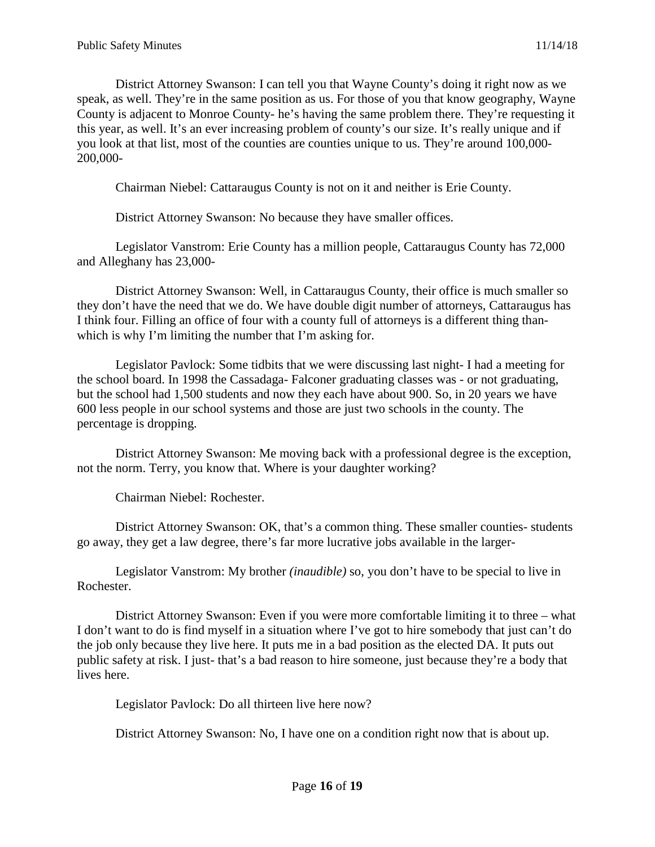District Attorney Swanson: I can tell you that Wayne County's doing it right now as we speak, as well. They're in the same position as us. For those of you that know geography, Wayne County is adjacent to Monroe County- he's having the same problem there. They're requesting it this year, as well. It's an ever increasing problem of county's our size. It's really unique and if you look at that list, most of the counties are counties unique to us. They're around 100,000- 200,000-

Chairman Niebel: Cattaraugus County is not on it and neither is Erie County.

District Attorney Swanson: No because they have smaller offices.

Legislator Vanstrom: Erie County has a million people, Cattaraugus County has 72,000 and Alleghany has 23,000-

District Attorney Swanson: Well, in Cattaraugus County, their office is much smaller so they don't have the need that we do. We have double digit number of attorneys, Cattaraugus has I think four. Filling an office of four with a county full of attorneys is a different thing thanwhich is why I'm limiting the number that I'm asking for.

Legislator Pavlock: Some tidbits that we were discussing last night- I had a meeting for the school board. In 1998 the Cassadaga- Falconer graduating classes was - or not graduating, but the school had 1,500 students and now they each have about 900. So, in 20 years we have 600 less people in our school systems and those are just two schools in the county. The percentage is dropping.

District Attorney Swanson: Me moving back with a professional degree is the exception, not the norm. Terry, you know that. Where is your daughter working?

Chairman Niebel: Rochester.

District Attorney Swanson: OK, that's a common thing. These smaller counties- students go away, they get a law degree, there's far more lucrative jobs available in the larger-

Legislator Vanstrom: My brother *(inaudible)* so, you don't have to be special to live in Rochester.

District Attorney Swanson: Even if you were more comfortable limiting it to three – what I don't want to do is find myself in a situation where I've got to hire somebody that just can't do the job only because they live here. It puts me in a bad position as the elected DA. It puts out public safety at risk. I just- that's a bad reason to hire someone, just because they're a body that lives here.

Legislator Pavlock: Do all thirteen live here now?

District Attorney Swanson: No, I have one on a condition right now that is about up.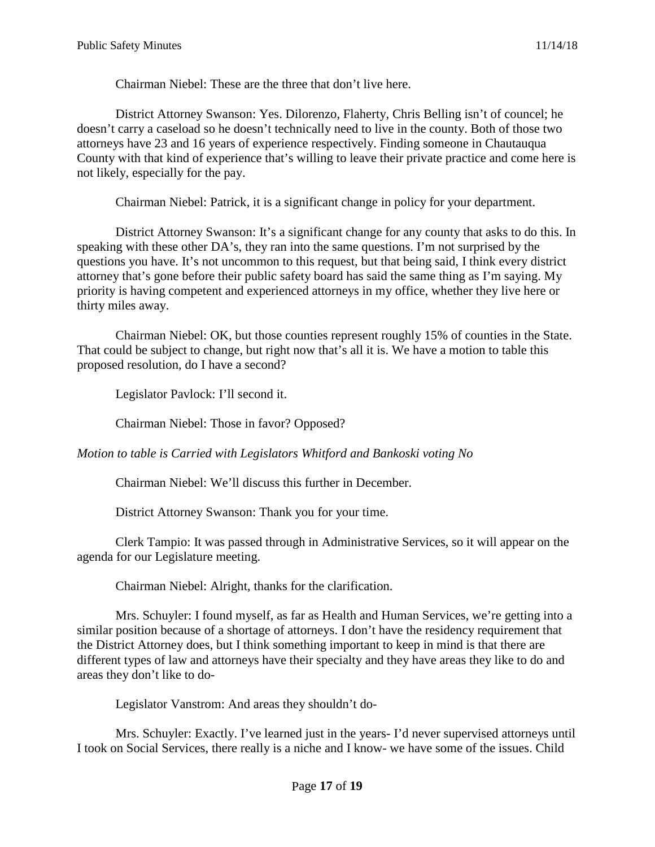Chairman Niebel: These are the three that don't live here.

District Attorney Swanson: Yes. Dilorenzo, Flaherty, Chris Belling isn't of councel; he doesn't carry a caseload so he doesn't technically need to live in the county. Both of those two attorneys have 23 and 16 years of experience respectively. Finding someone in Chautauqua County with that kind of experience that's willing to leave their private practice and come here is not likely, especially for the pay.

Chairman Niebel: Patrick, it is a significant change in policy for your department.

District Attorney Swanson: It's a significant change for any county that asks to do this. In speaking with these other DA's, they ran into the same questions. I'm not surprised by the questions you have. It's not uncommon to this request, but that being said, I think every district attorney that's gone before their public safety board has said the same thing as I'm saying. My priority is having competent and experienced attorneys in my office, whether they live here or thirty miles away.

Chairman Niebel: OK, but those counties represent roughly 15% of counties in the State. That could be subject to change, but right now that's all it is. We have a motion to table this proposed resolution, do I have a second?

Legislator Pavlock: I'll second it.

Chairman Niebel: Those in favor? Opposed?

*Motion to table is Carried with Legislators Whitford and Bankoski voting No*

Chairman Niebel: We'll discuss this further in December.

District Attorney Swanson: Thank you for your time.

Clerk Tampio: It was passed through in Administrative Services, so it will appear on the agenda for our Legislature meeting.

Chairman Niebel: Alright, thanks for the clarification.

Mrs. Schuyler: I found myself, as far as Health and Human Services, we're getting into a similar position because of a shortage of attorneys. I don't have the residency requirement that the District Attorney does, but I think something important to keep in mind is that there are different types of law and attorneys have their specialty and they have areas they like to do and areas they don't like to do-

Legislator Vanstrom: And areas they shouldn't do-

Mrs. Schuyler: Exactly. I've learned just in the years- I'd never supervised attorneys until I took on Social Services, there really is a niche and I know- we have some of the issues. Child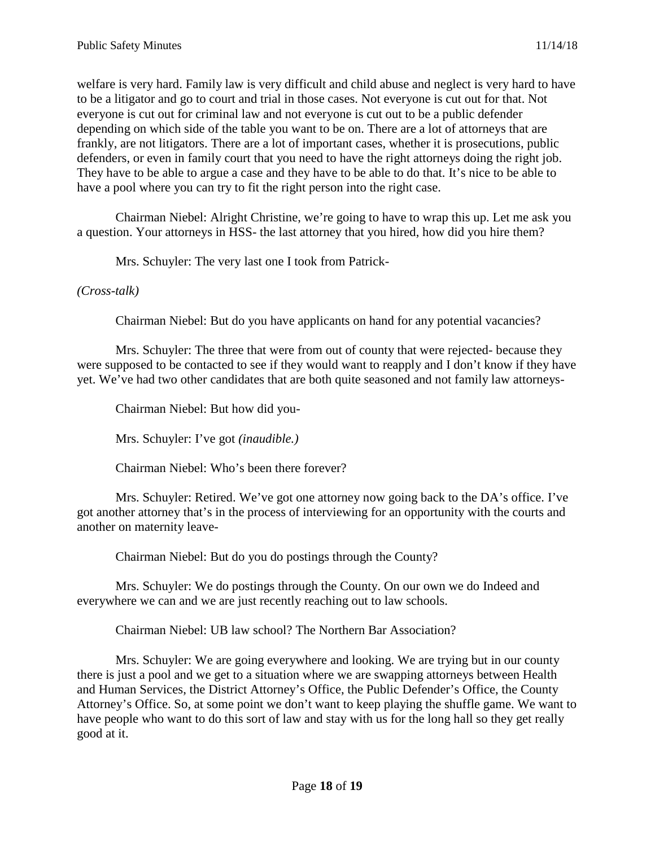welfare is very hard. Family law is very difficult and child abuse and neglect is very hard to have to be a litigator and go to court and trial in those cases. Not everyone is cut out for that. Not everyone is cut out for criminal law and not everyone is cut out to be a public defender depending on which side of the table you want to be on. There are a lot of attorneys that are frankly, are not litigators. There are a lot of important cases, whether it is prosecutions, public defenders, or even in family court that you need to have the right attorneys doing the right job. They have to be able to argue a case and they have to be able to do that. It's nice to be able to have a pool where you can try to fit the right person into the right case.

Chairman Niebel: Alright Christine, we're going to have to wrap this up. Let me ask you a question. Your attorneys in HSS- the last attorney that you hired, how did you hire them?

Mrs. Schuyler: The very last one I took from Patrick-

#### *(Cross-talk)*

Chairman Niebel: But do you have applicants on hand for any potential vacancies?

Mrs. Schuyler: The three that were from out of county that were rejected- because they were supposed to be contacted to see if they would want to reapply and I don't know if they have yet. We've had two other candidates that are both quite seasoned and not family law attorneys-

Chairman Niebel: But how did you-

Mrs. Schuyler: I've got *(inaudible.)*

Chairman Niebel: Who's been there forever?

Mrs. Schuyler: Retired. We've got one attorney now going back to the DA's office. I've got another attorney that's in the process of interviewing for an opportunity with the courts and another on maternity leave-

Chairman Niebel: But do you do postings through the County?

Mrs. Schuyler: We do postings through the County. On our own we do Indeed and everywhere we can and we are just recently reaching out to law schools.

Chairman Niebel: UB law school? The Northern Bar Association?

Mrs. Schuyler: We are going everywhere and looking. We are trying but in our county there is just a pool and we get to a situation where we are swapping attorneys between Health and Human Services, the District Attorney's Office, the Public Defender's Office, the County Attorney's Office. So, at some point we don't want to keep playing the shuffle game. We want to have people who want to do this sort of law and stay with us for the long hall so they get really good at it.